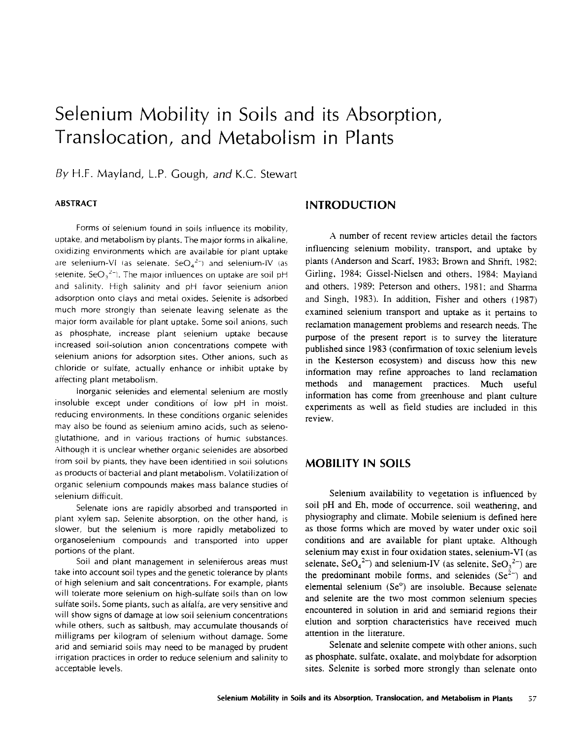# Selenium Mobility in Soils and its Absorption, Translocation, and Metabolism in Plants

By H.F. Mayland, L.P. Gough, *and* K.C. Stewart

Forms of selenium found in soils influence its mobility, uptake, and metabolism by plants. The major forms in alkaline, oxidizing environments which are available for plant uptake are selenium-VI (as selenate,  $SeO_4^2$ ) and selenium-IV (as selenite,  $$eO_3^2$ ). The major influences on uptake are soil pH and salinity. High salinity and pH favor selenium anion adsorption onto clays and metal oxides. Selenite is adsorbed much more strongly than selenate leaving selenate as the major form available for plant uptake. Some soil anions, such as phosphate, increase plant selenium uptake because increased soil-solution anion concentrations compete with selenium anions for adsorption sites. Other anions, such as chloride or sulfate, actually enhance or inhibit uptake by affecting plant metabolism.

Inorganic selenides and elemental selenium are mostly insoluble except under conditions of low pH in moist, reducing environments. In these conditions organic selenides may also be found as selenium amino acids, such as selenoglutathione, and in various fractions of humic substances. Although it is unclear whether organic selenides are absorbed from soil by plants, they have been identified in soil solutions as products of bacterial and plant metabolism. Volatilization of organic selenium compounds makes mass balance studies of selenium difficult.

Selenate ions are rapidly absorbed and transported in plant xylem sap. Selenite absorption, on the other hand, is slower, but the selenium is more rapidly metabolized to organoselenium compounds and transported into upper portions of the plant.

Soil and plant management in seleniferous areas must take into account soil types and the genetic tolerance by plants of high selenium and salt concentrations. For example, plants will tolerate more selenium on high-sulfate soils than on low sulfate soils. Some plants, such as alfalfa, are very sensitive and will show signs of damage at low soil selenium concentrations while others, such as saltbush, may accumulate thousands of milligrams per kilogram of selenium without damage. Some arid and semiarid soils may need to be managed by prudent irrigation practices in order to reduce selenium and salinity to acceptable levels.

## **ABSTRACT INTRODUCTION**

A number of recent review articles detail the factors influencing selenium mobility, transport, and uptake by plants (Anderson and Scarf, 1983; Brown and Shrift, 1982: Girling, 1984; Gissel-Nielsen and others. 1984: Mavland and others. 1989: Peterson and others, 1981: and Sharma and Singh, 1983). In addition, Fisher and others (1987) examined selenium transport and uptake as it pertains to reclamation management problems and research needs. The purpose of the present report is to survey the literature published since 1983 (confirmation of toxic selenium levels in the Kesterson ecosystem) and discuss how this new information may refine approaches to land reclamation methods and management practices. Much useful information has come from greenhouse and plant culture experiments as well as field studies are included in this review.

#### **MOBILITY IN SOILS**

Selenium availability to vegetation is influenced by soil pH and Eh, mode of occurrence, soil weathering, and physiography and climate. Mobile selenium is defined here as those forms which are moved by water under oxic soil conditions and are available for plant uptake. Although selenium may exist in four oxidation states, selenium-VI (as selenate,  $\text{SeO}_4^2$ ) and selenium-IV (as selenite,  $\text{SeO}_3^2$ ) are the predominant mobile forms, and selenides ( $Se^{2-}$ ) and elemental selenium (Se°) are insoluble. Because selenate and selenite are the two most common selenium species encountered in solution in arid and semiarid regions their elution and sorption characteristics have received much attention in the literature.

Selenate and selenite compete with other anions, such as phosphate, sulfate, oxalate, and molybdate for adsorption sites. Selenite is sorbed more strongly than selenate onto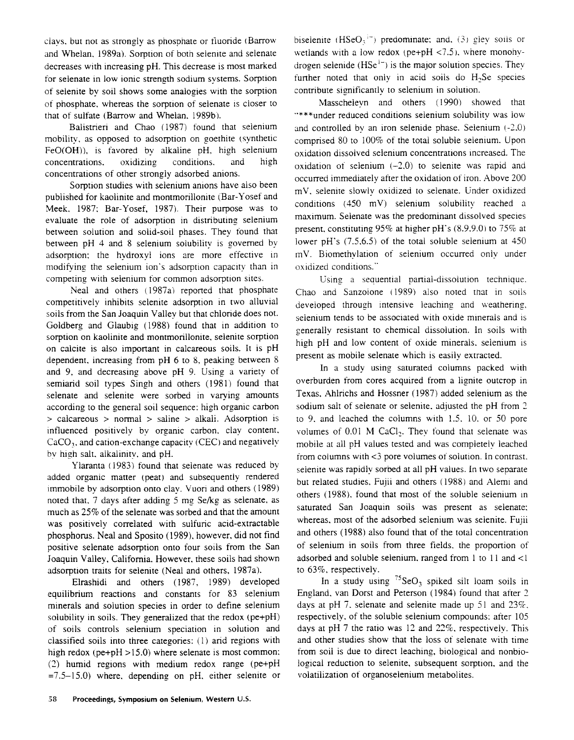clays, but not as strongly as phosphate or fluoride ( Barrow and Whelan. 1989a). Sorption of both selenite and selenate decreases with increasing pH. This decrease is most marked for selenate in low ionic strength sodium systems. Sorption of selenite by soil shows some analogies with the sorption of phosphate. whereas the sorption of selenate is closer to that of sulfate (Barrow and Whelan. 1989b).

Balistrieri and Chao (1987) found that selenium mobility, as opposed to adsorption on goethite (synthetic FeO(OH)), is favored by alkaline pH, high selenium concentrations, oxidizing conditions, and high concentrations of other strongly adsorbed anions.

Sorption studies with selenium anions have also been published for kaolinite and montmorillonite (Bar-Yosef and Meek. 1987: Bar-Yosef, 1987). Their purpose was to evaluate the role of adsorption in distributing selenium between solution and solid-soil phases. They found that between pH 4 and 8 selenium solubility is governed by adsorption: the hydroxyl ions are more effective in modifying the selenium ion's adsorption capacity than in competing with selenium for common adsorption sites.

Neal and others (1987a) reported that phosphate competitively inhibits selenite adsorption in two alluvial soils from the San Joaquin Valley but that chloride does not. Goldberg and Glaubig (1988) found that in addition to sorption on kaolinite and montmorillonite, selenite sorption on calcite is also important in calcareous soils. It is pH dependent, increasing from pH 6 to 8, peaking between 8 and 9, and decreasing above pH 9. Using a variety of semiarid soil types Singh and others (1981) found that selenate and selenite were sorbed in varying amounts according to the general soil sequence: high organic carbon > calcareous > normal > saline > alkali. Adsorption is influenced positively by organic carbon, clay content,  $CaCO<sub>3</sub>$ , and cation-exchange capacity (CEC) and negatively by high salt, alkalinity, and pH.

Ylaranta (1983) found that selenate was reduced by added organic matter (peat) and subsequently rendered immobile by adsorption onto clay. Vuori and others (1989) noted that, 7 days after adding 5 mg Se/kg as selenate, as much as 25% of the selenate was sorbed and that the amount was positively correlated with sulfuric acid-extractable phosphorus. Neal and Sposito (1989). however, did not find positive selenate adsorption onto four soils from the San Joaquin Valley, California. However, these soils had shown adsorption traits for selenite (Neal and others, 1987a).

Elrashidi and others (1987, 1989) developed equilibrium reactions and constants for 83 selenium minerals and solution species in order to define selenium solubility in soils. They generalized that the redox ( $pe+pH$ ) of soils controls selenium speciation in solution and classified soils into three categories: (1) arid regions with high redox ( $pe+pH > 15.0$ ) where selenate is most common: (2) humid regions with medium redox range (pe+pH  $=7.5-15.0$ ) where, depending on pH, either selenite or biselenite ( $HSeO_3$ <sup>1-</sup>) predominate: and. (3) glev soils or wetlands with a low redox ( $pe+pH < 7.5$ ), where monohydrogen selenide  $(HSe^{1-})$  is the major solution species. They further noted that only in acid soils do H<sub>2</sub>Se species contribute significantly to selenium in solution.

Masscheleyn and others (1990) showed that "\*\*\*under reduced conditions selenium solubility was low and controlled by an iron selenide phase. Selenium (-2.0) comprised 80 to 100% of the total soluble selenium. Upon oxidation dissolved selenium concentrations increased. The oxidation of selenium  $(-2,0)$  to selenite was rapid and occurred immediately after the oxidation of iron. Above 200 mV. selenite slowly oxidized to selenate. Under oxidized conditions (450 mV) selenium solubility reached a maximum. Selenate was the predominant dissolved species present. constituting 95% at higher pH's  $(8.9.9.0)$  to 75% at lower pH's (7.5.6.5) of the total soluble selenium at 450 mV. Biomethvlation of selenium occurred only under oxidized conditions."

Using a sequential partial-dissolution technique. Chao and Sanzoione (1989) also noted that in soils developed through intensive leaching and weathering, selenium tends to be associated with oxide minerals and is generally resistant to chemical dissolution. In soils with high pH and low content of oxide minerals. selenium is present as mobile selenate which is easily extracted.

In a study using saturated columns packed with overburden from cores acquired from a lignite outcrop in Texas, Ahlrichs and Hossner (1987) added selenium as the sodium salt of selenate or selenite. adjusted the pH from 2 to 9. and leached the columns with 1.5. 10. or 50 pore volumes of 0.01 M CaCl<sub>2</sub>. They found that selenate was mobile at all pH values tested and was completely leached from columns with <3 pore volumes of solution. In contrast. selenite was rapidly sorbed at all pH values. In two separate but related studies, Fujii and others (1988) and Alemi and others (1988). found that most of the soluble selenium in saturated San Joaquin soils was present as selenate: whereas, most of the adsorbed selenium was selenite. Fujii and others (1988) also found that of the total concentration of selenium in soils from three fields, the proportion of adsorbed and soluble selenium, ranged from 1 to 11 and  $\langle$ 1 to 63%, respectively.

In a study using  $^{75}$ SeO<sub>3</sub> spiked silt loam soils in England, van Dorst and Peterson (1984) found that after 2 days at pH 7. selenate and selenite made up 51 and 23%. respectively, of the soluble selenium compounds: after 105 days at pH 7 the ratio was  $12$  and  $22\%$ , respectively. This and other studies show that the loss of selenate with time from soil is due to direct leaching, biological and nonbiological reduction to selenite, subsequent sorption. and the volatilization of organoselenium metabolites.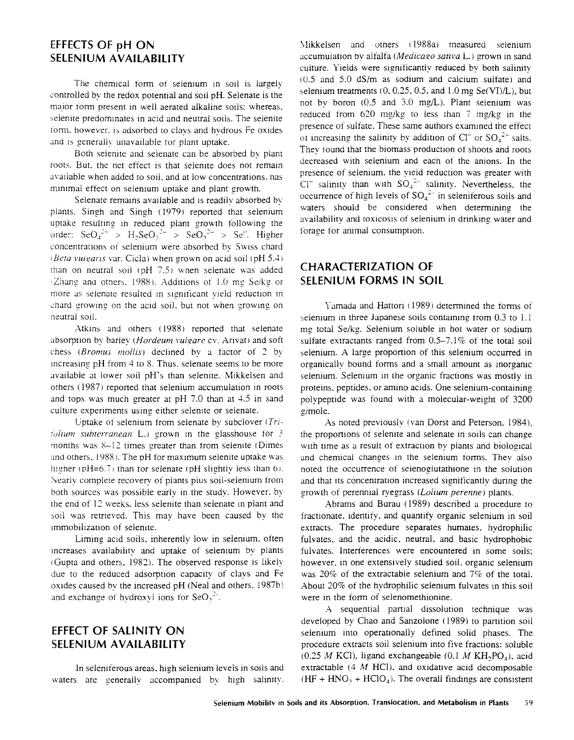### EFFECTS OF pH ON SELENIUM AVAILABILITY

The chemical form of selenium in soil is largely controlled by the redox potential and soil pH. Selenate is the maior form present in well aerated alkaline soils: whereas. selenite predominates in acid and neutral soils. The selenite form. however. is adsorbed to clays and hydrous Fe oxides and is generally unavailable for plant uptake.

Both selenite and selenate can be absorbed by plant roots. But, the net effect is that selenite does not remain available when added to soil, and at low concentrations. has minimal effect on selenium uptake and plant growth.

Selenate remains available and is readily absorbed by plants. Singh and Singh (1979) reported that selenium uptake resulting in reduced plant growth following the order:  $\text{SeO}_3^{2-} > H_2 \text{SeO}_3^{2-} > \text{SeO}_3^{2-} > \text{Se}^0$ . Higher concentrations of selenium were absorbed by Swiss chard *(Beta vuliaris* var. Cicla) when grown on acid soil (pH 5.4) than on neutral soil (pH *7.5)* when selenate was added Zhang and others. 1988 ). Additions of 1.0 mg Se/kg or more as selenate resulted in significant vield reduction in chard growing on the acid soil, but not when growing on neutral soil.

Atkins and others (1988) reported that selenate absorption by barley (*Hordeum vulgare* cv. Arivat) and soft chess *(Bromus mollis)* declined by a factor of 2 by increasing  $pH$  from 4 to 8. Thus, selenate seems to be more available at lower soil pH's than selenite. Mikkelsen and others (1987) reported that selenium accumulation in roots and tops was much greater at pH 7.0 than at 4.5 in sand culture experiments using either selenite or selenate.

Uptake of selenium from selenate by subclover *(Trifolium subterranean* **L.**) grown in the glasshouse for 3 months was 8-12 times greater than from selenite (Dimes and others, 1988). The pH for maximum selenite uptake was higher  $pH=6.7$ ) than for selenate (pH slightly less than 6). Nearly complete recovery of plants plus soil-selenium from both sources was possible early in the study. However, by the end of 12 weeks, less selenite than selenate in plant and soil was retrieved. This may have been caused by the immobilization of selenite.

Liming acid soils, inherently low in selenium, often increases availability and uptake of selenium by plants (Gupta and others, 1982). The observed response is likely due to the reduced adsorption capacity of clays and Fe oxides caused by the increased pH (Neal and others, 1987b) and exchange of hydroxyl ions for  $\text{SeO}_3^2$ .

# EFFECT OF SALINITY ON SELENIUM AVAILABILITY

In seleniferous areas, high selenium levels in soils and waters are generally accompanied by high salinity. Mikkelsen and others ( 1988a) measured selenium accumulation by alfalfa *(Medicago sativa L.)* grown in sand culture. Yields were sienificantly reduced by both salinity (0.5 and 5.0 dS/m as sodium and calcium sulfate) and selenium treatments  $(0, 0.25, 0.5,$  and  $1.0$  mg Se(VI)/L), but not by boron  $(0.5 \text{ and } 3.0 \text{ mg/L})$ . Plant selenium was reduced from  $620$  mg/kg to less than  $7 \text{ mg/kg}$  in the presence of sulfate. These same authors examined the effect of increasing the salinity by addition of  $Cl^-$  or  $SO_4^2$ - salts. They found that the biomass production of shoots and roots decreased with selenium and each of the anions. In the presence of selenium, the yield reduction was greater with Cl<sup>-</sup> salinity than with  $SO_4^{2-}$  salinity. Nevertheless, the occurrence of high levels of  $SO_4^2$  in seleniferous soils and waters should be considered when determining the availability and toxicosis of selenium in drinking water and forage for animal consumption.

# CHARACTERIZATION OF SELENIUM FORMS IN SOIL

Yamada and Hattori (1989) determined the forms of selenium in three Japanese soils containing from 0.3 to 1.1 mg total Se/kg. Selenium soluble in hot water or sodium sulfate extractants ranged from 0.5-7.1% of the total soil selenium. A large proportion of this selenium occurred in organically bound forms and a small amount as inorganic selenium. Selenium in the organic fractions was mostly in proteins, peptides, or amino acids. One selenium-containing polypeptide was found with a molecular-weight of 3200 e/mole.

As noted previously (van Dorst and Peterson. 1984), the proportions of selenite and selenate in soils can change with time as a result of extraction by plants and biological and chemical changes in the selenium forms. They also noted the occurrence of seienoglutathione in the solution and that its concentration increased significantly during the growth of perennial ryezrass *(Lolium perenne)* plants.

Abrams and Burau (1989) described a procedure to fractionate, identify, and quantify organic selenium in soil extracts. The procedure separates humates, hydrophilic fulvates, and the acidic, neutral, and basic hydrophobic fulvates. Interferences were encountered in some soils; however, in one extensively studied soil, organic selenium was 20% of the extractable selenium and 7% of the total. About 20% of the hydrophilic selenium fulvates in this soil were in the form of selenomethionine.

A sequential partial dissolution technique was developed by Chao and Sanzolone (1989) to partition soil selenium into operationally defined solid phases. The procedure extracts soil selenium into five fractions: soluble  $(0.25 M$  KCl), ligand exchangeable  $(0.1 M$  KH<sub>2</sub>PO<sub>4</sub>), acid extractable (4 *M* HC1), and oxidative acid decomposable  $(HF + HNO<sub>3</sub> + HClO<sub>4</sub>)$ . The overall findings are consistent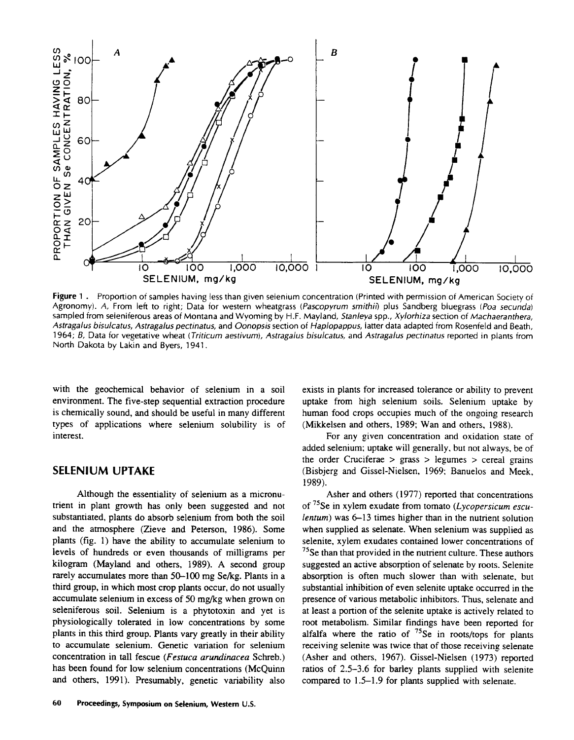

**Figure 1.** Proportion of samples having less than given selenium concentration (Printed with permission of American Society of Agronomy). A, From left to right; Data for western wheatgrass *(Pascopyrum smithh)* plus Sandberg bluegrass *(Poa secunda)* sampled from seleniferous areas of Montana and Wyoming by H.F. Mayland, *Stanleya* spp., *Xylorhiza* section of *Machaeranthera, Astragalus bisulcatus, Astragalus pectinatus,* and *Oonopsis* section of *Haplopappus,* latter data adapted from Rosenfeld and Beath, 1964; *B,* Data for vegetative wheat *(Triticum aestivum), Astragalus bisulcatus,* and *Astragalus pectinatus* reported in plants from North Dakota by Lakin and Byers, 1941.

with the geochemical behavior of selenium in a soil environment. The five-step sequential extraction procedure is chemically sound, and should be useful in many different types of applications where selenium solubility is of interest.

#### SELENIUM UPTAKE

Although the essentiality of selenium as a micronutrient in plant growth has only been suggested and not substantiated, plants do absorb selenium from both the soil and the atmosphere (Zieve and Peterson, 1986). Some plants (fig. 1) have the ability to accumulate selenium to levels of hundreds or even thousands of milligrams per kilogram (Mayland and others, 1989). A second group rarely accumulates more than 50-100 mg Se/kg. Plants in a third group, in which most crop plants occur, do not usually accumulate selenium in excess of 50 mg/kg when grown on seleniferous soil. Selenium is a phytotoxin and yet is physiologically tolerated in low concentrations by some plants in this third group. Plants vary greatly in their ability to accumulate selenium. Genetic variation for selenium concentration in tall fescue *(Festuca arundinacea* Schreb.) has been found for low selenium concentrations (McQuinn and others, 1991). Presumably, genetic variability also

exists in plants for increased tolerance or ability to prevent uptake from high selenium soils. Selenium uptake by human food crops occupies much of the ongoing research (Mikkelsen and others, 1989; Wan and others, 1988).

For any given concentration and oxidation state of added selenium; uptake will generally, but not always, be of the order Cruciferae  $>$  grass  $>$  legumes  $>$  cereal grains (Bisbjerg and Gissel-Nielsen, 1969; Banuelos and Meek, 1989).

Asher and others (1977) reported that concentrations of 75Se in xylem exudate from tomato *(Lycopersicum esculentum*) was 6–13 times higher than in the nutrient solution when supplied as selenate. When selenium was supplied as selenite, xylem exudates contained lower concentrations of <sup>75</sup>Se than that provided in the nutrient culture. These authors suggested an active absorption of selenate by roots. Selenite absorption is often much slower than with selenate, but substantial inhibition of even selenite uptake occurred in the presence of various metabolic inhibitors. Thus, selenate and at least a portion of the selenite uptake is actively related to root metabolism. Similar findings have been reported for alfalfa where the ratio of  $^{75}$ Se in roots/tops for plants receiving selenite was twice that of those receiving selenate (Asher and others, 1967). Gissel-Nielsen (1973) reported ratios of 2.5-3.6 for barley plants supplied with selenite compared to 1.5-1.9 for plants supplied with selenate.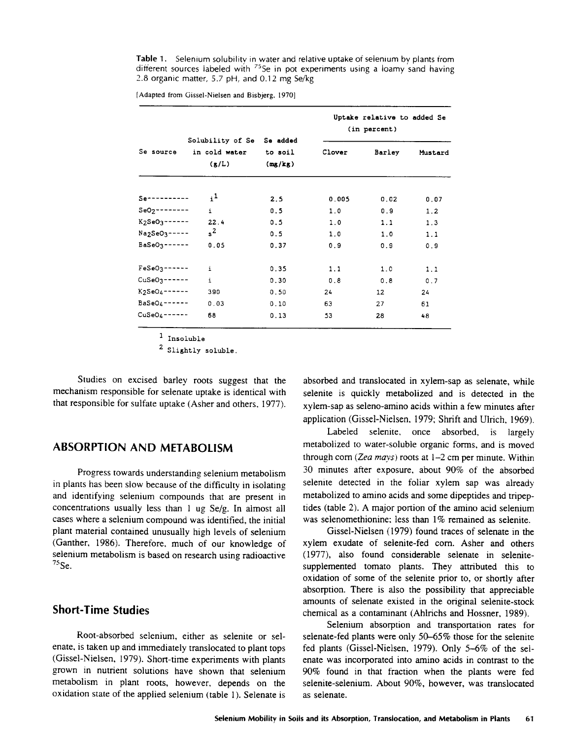**Table 1.** Selenium solubility in water and relative uptake of selenium by plants from different sources labeled with  $75$ Se in pot experiments using a loamy sand having 2.8 organic matter, 5.7 pH, and 0.12 mg Se/kg

| Se source                 | Solubility of Se<br>in cold water<br>(g/L) | Se added<br>to soil<br>(mg/kg) | Uptake relative to added Se<br>(in percent) |               |         |
|---------------------------|--------------------------------------------|--------------------------------|---------------------------------------------|---------------|---------|
|                           |                                            |                                | Clover                                      | <b>Barley</b> | Mustard |
| $S$ e - - - - - - - - - - | $i^1$                                      | 2.5                            | 0.005                                       | 0.02          | 0.07    |
| $SeO2$ -------            | $\mathbf{i}$                               | 0.5                            | 1.0                                         | 0.9           | 1.2     |
| $K_2$ SeO $3$ ------      | 22.4                                       | 0.5                            | 1.0                                         | 1.1           | 1.3     |
| $Na2SeO3---$              | $s^2$                                      | 0.5                            | 1.0                                         | 1.0           | 1.1     |
| $BaSeO3-----$             | 0.05                                       | 0.37                           | 0.9                                         | 0.9           | 0.9     |
| $FeSeO3$ ------           | i                                          | 0.35                           | 1.1                                         | 1.0           | 1.1     |
| $CuSeO3---$               | i                                          | 0.30                           | 0.8                                         | 0.8           | 0.7     |
| $K2SeO4$ -----            | 390                                        | 0.50                           | 24                                          | 12            | 24      |
| $BaSeO_4---$              | 0.03                                       | 0.10                           | 63                                          | 27            | 61      |
| $CuSeO_4$ ------          | 68                                         | 0.13                           | 53                                          | 28            | 48      |

[Adapted from Gissel-Nielsen and Bisbjerg. 1970]

1 Insoluble

2 Slightly soluble.

Studies on excised barley roots suggest that the mechanism responsible for selenate uptake is identical with that responsible for sulfate uptake (Asher and others, 1977).

#### **ABSORPTION AND METABOLISM**

Progress towards understanding selenium metabolism in plants has been slow because of the difficulty in isolating and identifying selenium compounds that are present in concentrations usually less than 1 ug Se/g. In almost all cases where a selenium compound was identified, the initial plant material contained unusually high levels of selenium (Ganther, 1986). Therefore, much of our knowledge of selenium metabolism is based on research using radioactive  $75$  Se.

#### **Short-Time Studies**

Root-absorbed selenium, either as selenite or selenate, is taken up and immediately translocated to plant tops (Gissel-Nielsen, 1979). Short-time experiments with plants grown in nutrient solutions have shown that selenium metabolism in plant roots, however, depends on the oxidation state of the applied selenium (table 1). Selenate is absorbed and translocated in xylem-sap as selenate, while selenite is quickly metabolized and is detected in the xylem-sap as seleno-amino acids within a few minutes after application (Gissel-Nielsen. 1979; Shrift and Ulrich, 1969).

Labeled selenite, once absorbed, is largely metabolized to water-soluble organic forms, and is moved through corn *(Zea mays)* roots at 1-2 cm per minute. Within 30 minutes after exposure, about 90% of the absorbed selenite detected in the foliar xylem sap was already metabolized to amino acids and some dipeptides and tripeptides (table 2). A major portion of the amino acid selenium was selenomethionine; less than 1% remained as selenite.

Gissel-Nielsen (1979) found traces of selenate in the xylem exudate of selenite-fed corn. Asher and others (1977), also found considerable selenate in selenitesupplemented tomato plants. They attributed this to oxidation of some of the selenite prior to, or shortly after absorption. There is also the possibility that appreciable amounts of selenate existed in the original selenite-stock chemical as a contaminant (Ahlrichs and Hossner, 1989).

Selenium absorption and transportation rates for selenate-fed plants were only 50-65% those for the selenite fed plants (Gissel-Nielsen, 1979). Only 5-6% of the selenate was incorporated into amino acids in contrast to the 90% found in that fraction when the plants were fed selenite-selenium. About 90%, however, was translocated as selenate.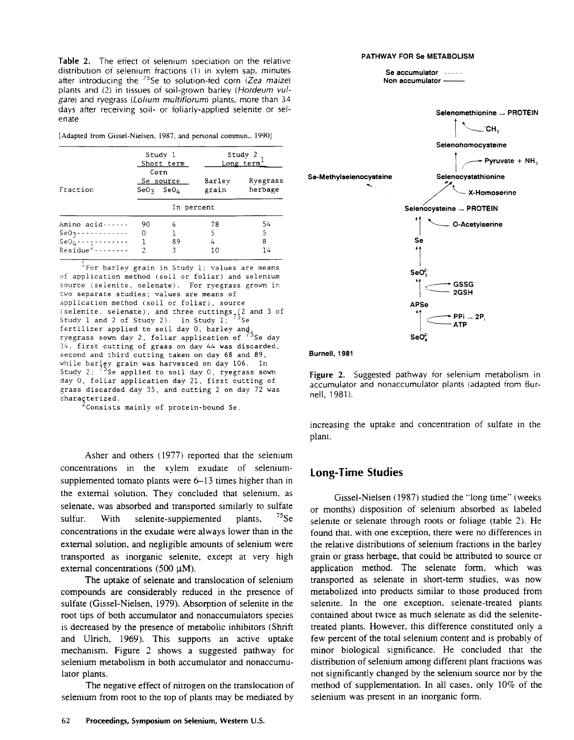Table 2. The effect of selenium speciation on the relative distribution of selenium fractions (1) in xylem sap, minutes after introducing the  $^{75}$ Se to solution-fed corn (Zea maize) plants and (2) in tissues of soil-grown barley (Hordeum vulgare) and ryegrass (Lolium multiflorum) plants, more than 34 days after receiving soil- or foliarly-applied selenite or selen ate

[Adapted from Gissel-Nielsen, 1987, and personal commun., 1990]

|                      | Study 1<br>Short term |                                                        |                 | Study 2<br>Long term |  |  |
|----------------------|-----------------------|--------------------------------------------------------|-----------------|----------------------|--|--|
| Fraction             |                       | Corn<br>Se source<br>SeO <sub>3</sub> SeO <sub>4</sub> | Barley<br>grain | Ryegrass<br>herbage  |  |  |
|                      | In percent            |                                                        |                 |                      |  |  |
| Amino acid------     | 90                    | 6                                                      | 78              | 54                   |  |  |
| $SeO2$ ------------  | 0                     |                                                        | 5               | 5                    |  |  |
| $SeO_4$ ------------ | 1                     | 89                                                     | 4               | 8                    |  |  |
| $Residue^2$ -------- | 2                     | ٦                                                      | 10              | 14                   |  |  |

 $^{\tt l}$  For barley grain in Study 1; values are means of application method (soil or foliar) and selenium source (selenite, selenate). For ryegrass grown in two separate studies; values are means of application method (soil or foliar), source (selenite, selenate), and three cuttings  $(2 \text{ and } 3 \text{ of})$ Study 1 and 2 of Study 2). In Study  $1^{\frac{2}{3}}$  <sup>75</sup>Se fertilizer applied to soil day 0, barley and ryegrass sown day 2, foliar application of  $\frac{75}{3}$ Se day 34, first cutting of grass on day 44 was discarded, second and third cutting taken on day 68 and 89, while barley grain was harvested on day 106. In Study  $2$ ;  $75^{\circ}$ Se applied to soil day 0, ryegrass sown day 0, foliar application day 21, first cutting of grass discarded day 35, and cutting 2 on day 72 was characterized.

Consists mainly of protein-bound Se.

Asher and others (1977) reported that the selenium concentrations in the xylem exudate of seleniumsupplemented tomato plants were 6-13 times higher than in the external solution. They concluded that selenium, as selenate, was absorbed and transported similarly to sulfate sulfur. With selenite-supplemented plants,  $^{75}$ Se concentrations in the exudate were always lower than in the external solution, and negligible amounts of selenium were transported as inorganic selenite, except at very high external concentrations (500  $\mu$ M).

The uptake of selenate and translocation of selenium compounds are considerably reduced in the presence of sulfate (Gissel-Nielsen, 1979). Absorption of selenite in the root tips of both accumulator and nonaccumulators species is decreased by the presence of metabolic inhibitors (Shrift and Ulrich, 1969). This supports an active uptake mechanism. Figure 2 shows a suggested pathway for selenium metabolism in both accumulator and nonaccumulator plants.

The negative effect of nitrogen on the translocation of selenium from root to the top of plants may be mediated by





Figure 2. Suggested pathway for selenium metabolism in accumulator and nonaccumulator plants (adapted from Burnell, 1981).

increasing the uptake and concentration of sulfate in the plant.

#### **Long-Time Studies**

Gissel-Nielsen (1987) studied the "long time" (weeks or months) disposition of selenium absorbed as labeled selenite or selenate through roots or foliage (table 2). He found that, with one exception, there were no differences in the relative distributions of selenium fractions in the barley grain or grass herbage, that could be attributed to source or application method. The selenate form, which was transported as selenate in short-term studies, was now metabolized into products similar to those produced from selenite. In the one exception, selenate-treated plants contained about twice as much selenate as did the selenitetreated plants. However, this difference constituted only a few percent of the total selenium content and is probably of minor biological significance. He concluded that the distribution of selenium among different plant fractions was not significantly changed by the selenium source nor by the method of supplementation. In all cases, only 10% of the selenium was present in an inorganic form.

### **PATHWAY FOR Se METABOLISM Se accumulator**

**Non accumulator**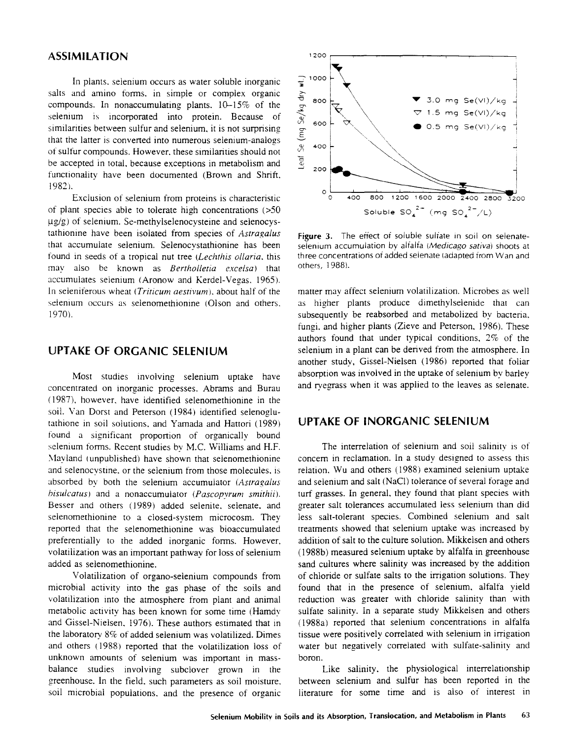### ASSIMILATION 1200

In plants. selenium occurs as water soluble inorganic salts and amino forms, in simple or complex organic compounds. In nonaccumulating plants. 10-15% of the selenium is incorporated into protein. Because of similarities between sulfur and selenium, it is not surprising that the latter is converted into numerous selenium-analogs of sulfur compounds. However, these similarities should not be accepted in total, because exceptions in metabolism and functionality have been documented (Brown and Shrift, 1982).

Exclusion of selenium from proteins is characteristic of plant species able to tolerate high concentrations (>50  $\mu$ g/g) of selenium. Se-methylselenocysteine and selenocystathionine have been isolated from species of *Astragalus* that accumulate selenium. Selenocystathionine has been found in seeds of a tropical nut tree *(Lechthis ollaria,* this may also be known as *Bertholletia excelsa*) that accumulates selenium (Aronow and Kerdel-Vegas. 1965). In seleniferous wheat *(Triticum aestivum).* about half of the selenium occurs as selenomethionine (Olson and others. 1970).

### UPTAKE OF ORGANIC SELENIUM

Most studies involving selenium uptake have concentrated on inorganic processes. Abrams and Burau (1987), however, have identified selenomethionine in the soil. Van Dorst and Peterson (1984) identified selenoglutathione in soil solutions, and Yamada and Hattori (1989) found a significant proportion of organically bound selenium forms. Recent studies by M.C. Williams and H.F. Mayland (unpublished) have shown that selenomethionine and selenocvstine. or the selenium from those molecules, is absorbed by both the selenium accumulator *(Astragalus bisulcatus)* and a nonaccumulator *(Pascopyrum smithii).* Besser and others (1989) added selenite, selenate, and selenomethionine to a closed-system microcosm. They reported that the selenomethionine was bioaccumulated preferentially to the added inorganic forms. However, volatilization was an important pathway for loss of selenium added as selenomethionine.

Volatilization of organo-selenium compounds from microbial activity into the gas phase of the soils and volatilization into the atmosphere from plant and animal metabolic activity has been known for some time (Hamdy and Gissel-Nielsen, 1976). These authors estimated that in the laboratory 8% of added selenium was volatilized. Dimes and others (1988) reported that the volatilization loss of unknown amounts of selenium was important in massbalance studies involving subclover grown in the <sup>g</sup>reenhouse. In the field, such parameters as soil moisture. soil microbial populations. and the presence of organic



**Figure 3.** The effect of soluble sulfate in soil on selenateselenium accumulation by alfalfa (Medicago *sativa)* shoots at three concentrations of added seienate (adapted from Wan and others, 1988).

matter may affect selenium volatilization. Microbes as well as higher plants produce dimethylselenide that can subsequently be reabsorbed and metabolized by bacteria, fungi, and higher plants (Zieve and Peterson, 1986). These authors found that under typical conditions, 2% of the selenium in a plant can be derived from the atmosphere. In another study, Gissel-Nielsen (1986) reported that foliar absorption was involved in the uptake of selenium by barley and ryegrass when it was applied to the leaves as selenate.

### UPTAKE OF INORGANIC SELENIUM

The interrelation of selenium and soil salinity is of concern in reclamation. In a study designed to assess this relation. Wu and others (1988) examined selenium uptake and selenium and salt (NaCI) tolerance of several forage and turf grasses. In general, they found that plant species with greater salt tolerances accumulated less selenium than did less salt-tolerant species. Combined selenium and salt treatments showed that selenium uptake was increased by addition of salt to the culture solution. Mikkelsen and others (1988b) measured selenium uptake by alfalfa in greenhouse sand cultures where salinity was increased by the addition of chloride or sulfate salts to the irrigation solutions. They found that in the presence of selenium, alfalfa yield reduction was greater with chloride salinity than with sulfate salinity. *In* a separate study Mikkelsen and others (1988a) reported that selenium concentrations in alfalfa tissue were positively correlated with selenium in irrigation water but negatively correlated with sulfate-salinity and boron.

Like salinity, the physiological interrelationship between selenium and sulfur has been reported in the literature for some time and is also of interest in